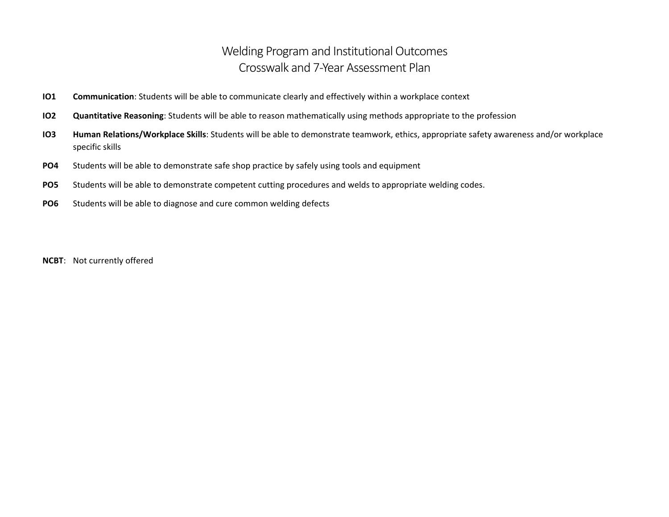## Welding Program and Institutional Outcomes Crosswalk and 7-Year Assessment Plan

- **IO1 Communication**: Students will be able to communicate clearly and effectively within a workplace context
- **IO2 Quantitative Reasoning**: Students will be able to reason mathematically using methods appropriate to the profession
- **IO3 Human Relations/Workplace Skills**: Students will be able to demonstrate teamwork, ethics, appropriate safety awareness and/or workplace specific skills
- **PO4** Students will be able to demonstrate safe shop practice by safely using tools and equipment
- **PO5** Students will be able to demonstrate competent cutting procedures and welds to appropriate welding codes.
- **PO6** Students will be able to diagnose and cure common welding defects

**NCBT**: Not currently offered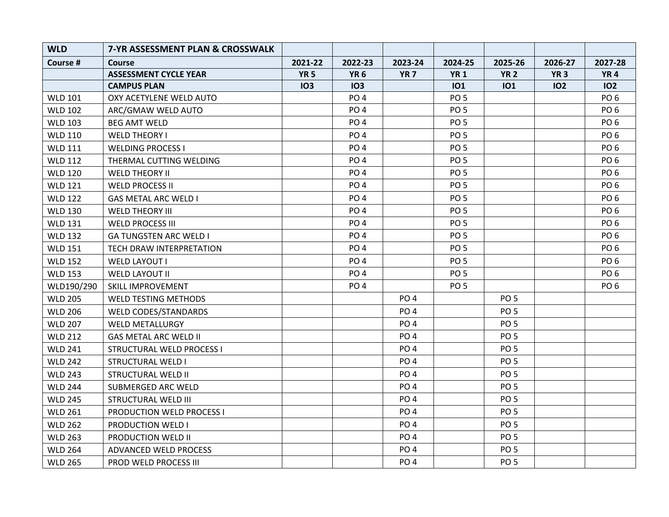| <b>WLD</b>     | 7-YR ASSESSMENT PLAN & CROSSWALK |             |                 |                 |                 |                 |             |                 |
|----------------|----------------------------------|-------------|-----------------|-----------------|-----------------|-----------------|-------------|-----------------|
| Course #       | Course                           | 2021-22     | 2022-23         | 2023-24         | 2024-25         | 2025-26         | 2026-27     | 2027-28         |
|                | <b>ASSESSMENT CYCLE YEAR</b>     | <b>YR 5</b> | <b>YR 6</b>     | <b>YR 7</b>     | <b>YR1</b>      | <b>YR 2</b>     | <b>YR 3</b> | <b>YR4</b>      |
|                | <b>CAMPUS PLAN</b>               | <b>IO3</b>  | <b>IO3</b>      |                 | <b>IO1</b>      | <b>IO1</b>      | 102         | <b>IO2</b>      |
| <b>WLD 101</b> | OXY ACETYLENE WELD AUTO          |             | PO <sub>4</sub> |                 | PO <sub>5</sub> |                 |             | PO <sub>6</sub> |
| <b>WLD 102</b> | ARC/GMAW WELD AUTO               |             | PO <sub>4</sub> |                 | PO <sub>5</sub> |                 |             | PO <sub>6</sub> |
| <b>WLD 103</b> | <b>BEG AMT WELD</b>              |             | PO <sub>4</sub> |                 | PO <sub>5</sub> |                 |             | PO <sub>6</sub> |
| <b>WLD 110</b> | <b>WELD THEORY I</b>             |             | PO <sub>4</sub> |                 | PO <sub>5</sub> |                 |             | PO <sub>6</sub> |
| <b>WLD 111</b> | <b>WELDING PROCESS I</b>         |             | PO <sub>4</sub> |                 | PO <sub>5</sub> |                 |             | PO <sub>6</sub> |
| <b>WLD 112</b> | THERMAL CUTTING WELDING          |             | PO <sub>4</sub> |                 | PO <sub>5</sub> |                 |             | PO <sub>6</sub> |
| <b>WLD 120</b> | <b>WELD THEORY II</b>            |             | PO <sub>4</sub> |                 | PO <sub>5</sub> |                 |             | PO <sub>6</sub> |
| <b>WLD 121</b> | <b>WELD PROCESS II</b>           |             | PO <sub>4</sub> |                 | PO <sub>5</sub> |                 |             | PO <sub>6</sub> |
| <b>WLD 122</b> | <b>GAS METAL ARC WELD I</b>      |             | PO <sub>4</sub> |                 | PO <sub>5</sub> |                 |             | PO <sub>6</sub> |
| <b>WLD 130</b> | <b>WELD THEORY III</b>           |             | PO <sub>4</sub> |                 | PO <sub>5</sub> |                 |             | PO <sub>6</sub> |
| <b>WLD 131</b> | <b>WELD PROCESS III</b>          |             | PO <sub>4</sub> |                 | PO <sub>5</sub> |                 |             | PO <sub>6</sub> |
| <b>WLD 132</b> | <b>GA TUNGSTEN ARC WELD I</b>    |             | PO <sub>4</sub> |                 | PO <sub>5</sub> |                 |             | PO <sub>6</sub> |
| <b>WLD 151</b> | TECH DRAW INTERPRETATION         |             | PO <sub>4</sub> |                 | PO <sub>5</sub> |                 |             | PO <sub>6</sub> |
| <b>WLD 152</b> | <b>WELD LAYOUT I</b>             |             | PO <sub>4</sub> |                 | PO <sub>5</sub> |                 |             | PO <sub>6</sub> |
| <b>WLD 153</b> | <b>WELD LAYOUT II</b>            |             | PO <sub>4</sub> |                 | PO <sub>5</sub> |                 |             | PO <sub>6</sub> |
| WLD190/290     | <b>SKILL IMPROVEMENT</b>         |             | PO <sub>4</sub> |                 | PO <sub>5</sub> |                 |             | PO <sub>6</sub> |
| <b>WLD 205</b> | <b>WELD TESTING METHODS</b>      |             |                 | PO <sub>4</sub> |                 | <b>PO 5</b>     |             |                 |
| <b>WLD 206</b> | <b>WELD CODES/STANDARDS</b>      |             |                 | PO <sub>4</sub> |                 | PO <sub>5</sub> |             |                 |
| <b>WLD 207</b> | <b>WELD METALLURGY</b>           |             |                 | PO <sub>4</sub> |                 | PO <sub>5</sub> |             |                 |
| <b>WLD 212</b> | <b>GAS METAL ARC WELD II</b>     |             |                 | PO <sub>4</sub> |                 | PO <sub>5</sub> |             |                 |
| <b>WLD 241</b> | STRUCTURAL WELD PROCESS I        |             |                 | PO <sub>4</sub> |                 | PO <sub>5</sub> |             |                 |
| <b>WLD 242</b> | <b>STRUCTURAL WELD I</b>         |             |                 | PO <sub>4</sub> |                 | PO <sub>5</sub> |             |                 |
| <b>WLD 243</b> | STRUCTURAL WELD II               |             |                 | PO <sub>4</sub> |                 | PO 5            |             |                 |
| <b>WLD 244</b> | SUBMERGED ARC WELD               |             |                 | PO <sub>4</sub> |                 | PO <sub>5</sub> |             |                 |
| <b>WLD 245</b> | <b>STRUCTURAL WELD III</b>       |             |                 | PO <sub>4</sub> |                 | PO <sub>5</sub> |             |                 |
| <b>WLD 261</b> | <b>PRODUCTION WELD PROCESS I</b> |             |                 | PO <sub>4</sub> |                 | PO <sub>5</sub> |             |                 |
| <b>WLD 262</b> | PRODUCTION WELD I                |             |                 | PO <sub>4</sub> |                 | PO <sub>5</sub> |             |                 |
| <b>WLD 263</b> | PRODUCTION WELD II               |             |                 | PO <sub>4</sub> |                 | PO <sub>5</sub> |             |                 |
| <b>WLD 264</b> | ADVANCED WELD PROCESS            |             |                 | PO <sub>4</sub> |                 | PO <sub>5</sub> |             |                 |
| <b>WLD 265</b> | PROD WELD PROCESS III            |             |                 | PO <sub>4</sub> |                 | PO <sub>5</sub> |             |                 |